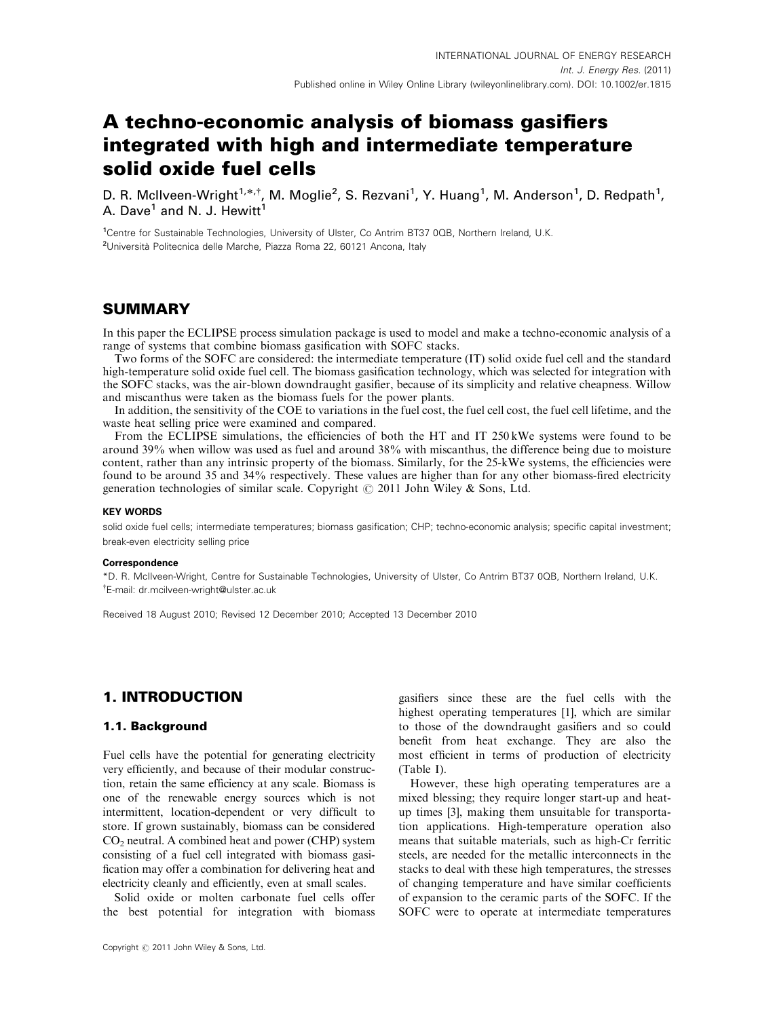# A techno-economic analysis of biomass gasifiers integrated with high and intermediate temperature solid oxide fuel cells

D. R. McIlveen-Wright<sup>1,\*,†</sup>, M. Moglie<sup>2</sup>, S. Rezvani<sup>1</sup>, Y. Huang<sup>1</sup>, M. Anderson<sup>1</sup>, D. Redpath<sup>1</sup>, A. Dave<sup>1</sup> and N. J. Hewitt<sup>1</sup>

1 Centre for Sustainable Technologies, University of Ulster, Co Antrim BT37 0QB, Northern Ireland, U.K. <sup>2</sup>Università Politecnica delle Marche, Piazza Roma 22, 60121 Ancona, Italy

# **SUMMARY**

In this paper the ECLIPSE process simulation package is used to model and make a techno-economic analysis of a range of systems that combine biomass gasification with SOFC stacks.

Two forms of the SOFC are considered: the intermediate temperature (IT) solid oxide fuel cell and the standard high-temperature solid oxide fuel cell. The biomass gasification technology, which was selected for integration with the SOFC stacks, was the air-blown downdraught gasifier, because of its simplicity and relative cheapness. Willow and miscanthus were taken as the biomass fuels for the power plants.

In addition, the sensitivity of the COE to variations in the fuel cost, the fuel cell cost, the fuel cell lifetime, and the waste heat selling price were examined and compared.

From the ECLIPSE simulations, the efficiencies of both the HT and IT 250 kWe systems were found to be around 39% when willow was used as fuel and around 38% with miscanthus, the difference being due to moisture content, rather than any intrinsic property of the biomass. Similarly, for the 25-kWe systems, the efficiencies were found to be around 35 and 34% respectively. These values are higher than for any other biomass-fired electricity generation technologies of similar scale. Copyright  $\odot$  2011 John Wiley & Sons, Ltd.

#### **KEY WORDS**

solid oxide fuel cells; intermediate temperatures; biomass gasification; CHP; techno-economic analysis; specific capital investment; break-even electricity selling price

#### **Correspondence**

\*D. R. McIlveen-Wright, Centre for Sustainable Technologies, University of Ulster, Co Antrim BT37 0QB, Northern Ireland, U.K. <sup>†</sup>E-mail: dr.mcilveen-wright@ulster.ac.uk

Received 18 August 2010; Revised 12 December 2010; Accepted 13 December 2010

# 1. INTRODUCTION

## 1.1. Background

Fuel cells have the potential for generating electricity very efficiently, and because of their modular construction, retain the same efficiency at any scale. Biomass is one of the renewable energy sources which is not intermittent, location-dependent or very difficult to store. If grown sustainably, biomass can be considered  $CO<sub>2</sub>$  neutral. A combined heat and power (CHP) system consisting of a fuel cell integrated with biomass gasification may offer a combination for delivering heat and electricity cleanly and efficiently, even at small scales.

Solid oxide or molten carbonate fuel cells offer the best potential for integration with biomass

gasifiers since these are the fuel cells with the highest operating temperatures [1], which are similar to those of the downdraught gasifiers and so could benefit from heat exchange. They are also the most efficient in terms of production of electricity (Table I).

However, these high operating temperatures are a mixed blessing; they require longer start-up and heatup times [3], making them unsuitable for transportation applications. High-temperature operation also means that suitable materials, such as high-Cr ferritic steels, are needed for the metallic interconnects in the stacks to deal with these high temperatures, the stresses of changing temperature and have similar coefficients of expansion to the ceramic parts of the SOFC. If the SOFC were to operate at intermediate temperatures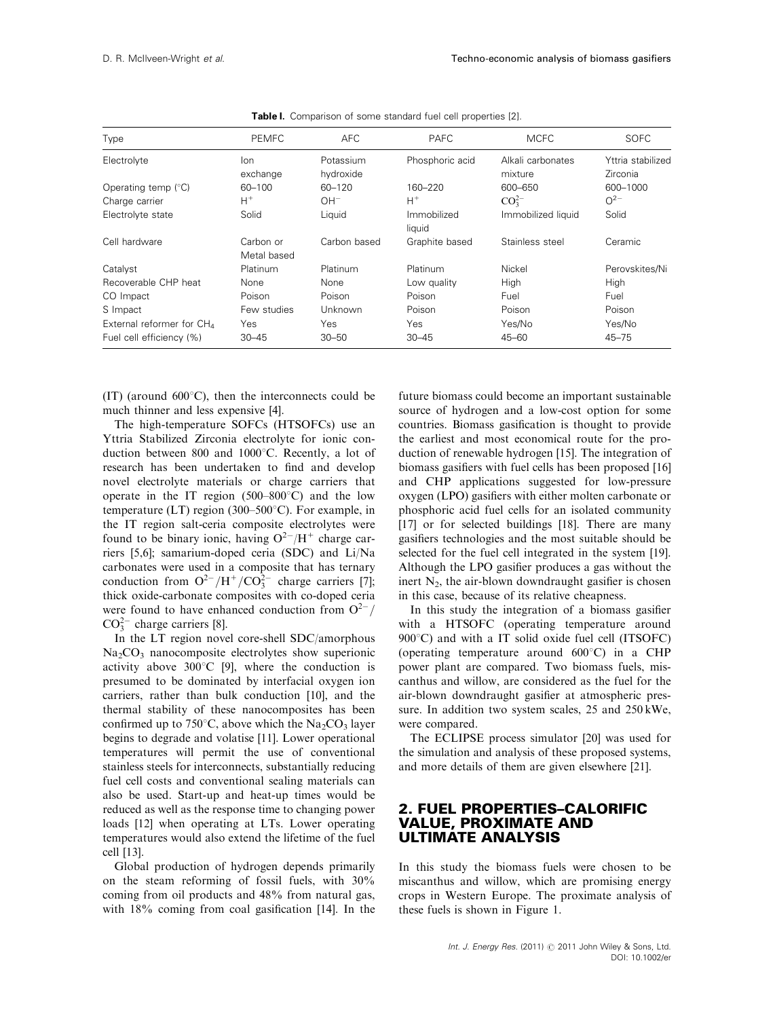| Type                                  | <b>PEMFC</b>             | AFC.                   | <b>PAFC</b>           | <b>MCFC</b>                  | <b>SOFC</b>                   |
|---------------------------------------|--------------------------|------------------------|-----------------------|------------------------------|-------------------------------|
| Electrolyte                           | lon<br>exchange          | Potassium<br>hydroxide | Phosphoric acid       | Alkali carbonates<br>mixture | Yttria stabilized<br>Zirconia |
| Operating temp (°C)                   | 60-100                   | $60 - 120$             | 160–220               | 600-650                      | 600-1000                      |
| Charge carrier                        | $H^+$                    | $OH^-$                 | $H^+$                 | $CO_2^{2-}$                  | $O^{2-}$                      |
| Electrolyte state                     | Solid                    | Liquid                 | Immobilized<br>liquid | Immobilized liquid           | Solid                         |
| Cell hardware                         | Carbon or<br>Metal based | Carbon based           | Graphite based        | Stainless steel              | Ceramic                       |
| Catalyst                              | Platinum                 | Platinum               | Platinum              | Nickel                       | Perovskites/Ni                |
| Recoverable CHP heat                  | <b>None</b>              | None                   | Low quality           | High                         | High                          |
| CO Impact                             | Poison                   | Poison                 | Poison                | Fuel                         | Fuel                          |
| S Impact                              | Few studies              | Unknown                | Poison                | Poison                       | Poison                        |
| External reformer for CH <sub>4</sub> | Yes                      | Yes                    | Yes                   | Yes/No                       | Yes/No                        |
| Fuel cell efficiency (%)              | $30 - 45$                | $30 - 50$              | $30 - 45$             | $45 - 60$                    | $45 - 75$                     |

**Table I.** Comparison of some standard fuel cell properties [2].

 $(IT)$  (around  $600^{\circ}$ C), then the interconnects could be much thinner and less expensive [4].

The high-temperature SOFCs (HTSOFCs) use an Yttria Stabilized Zirconia electrolyte for ionic conduction between 800 and  $1000^{\circ}$ C. Recently, a lot of research has been undertaken to find and develop novel electrolyte materials or charge carriers that operate in the IT region  $(500-800^{\circ}C)$  and the low temperature (LT) region (300–500 $^{\circ}$ C). For example, in the IT region salt-ceria composite electrolytes were found to be binary ionic, having  $O^{2-}/H^+$  charge carriers [5,6]; samarium-doped ceria (SDC) and Li/Na carbonates were used in a composite that has ternary conduction from  $O^{2-}/H^+ / CO_3^{2-}$  charge carriers [7]; thick oxide-carbonate composites with co-doped ceria were found to have enhanced conduction from  $O^{2-}/$  $CO_3^{2-}$  charge carriers [8].

In the LT region novel core-shell SDC/amorphous  $Na<sub>2</sub>CO<sub>3</sub>$  nanocomposite electrolytes show superionic activity above  $300^{\circ}$ C [9], where the conduction is presumed to be dominated by interfacial oxygen ion carriers, rather than bulk conduction [10], and the thermal stability of these nanocomposites has been confirmed up to 750 $\degree$ C, above which the Na<sub>2</sub>CO<sub>3</sub> layer begins to degrade and volatise [11]. Lower operational temperatures will permit the use of conventional stainless steels for interconnects, substantially reducing fuel cell costs and conventional sealing materials can also be used. Start-up and heat-up times would be reduced as well as the response time to changing power loads [12] when operating at LTs. Lower operating temperatures would also extend the lifetime of the fuel cell [13].

Global production of hydrogen depends primarily on the steam reforming of fossil fuels, with 30% coming from oil products and 48% from natural gas, with 18% coming from coal gasification [14]. In the future biomass could become an important sustainable source of hydrogen and a low-cost option for some countries. Biomass gasification is thought to provide the earliest and most economical route for the production of renewable hydrogen [15]. The integration of biomass gasifiers with fuel cells has been proposed [16] and CHP applications suggested for low-pressure oxygen (LPO) gasifiers with either molten carbonate or phosphoric acid fuel cells for an isolated community [17] or for selected buildings [18]. There are many gasifiers technologies and the most suitable should be selected for the fuel cell integrated in the system [19]. Although the LPO gasifier produces a gas without the inert  $N_2$ , the air-blown downdraught gasifier is chosen in this case, because of its relative cheapness.

In this study the integration of a biomass gasifier with a HTSOFC (operating temperature around  $900^{\circ}$ C) and with a IT solid oxide fuel cell (ITSOFC) (operating temperature around  $600^{\circ}$ C) in a CHP power plant are compared. Two biomass fuels, miscanthus and willow, are considered as the fuel for the air-blown downdraught gasifier at atmospheric pressure. In addition two system scales, 25 and 250 kWe, were compared.

The ECLIPSE process simulator [20] was used for the simulation and analysis of these proposed systems, and more details of them are given elsewhere [21].

# 2. FUEL PROPERTIES–CALORIFIC VALUE, PROXIMATE AND ULTIMATE ANALYSIS

In this study the biomass fuels were chosen to be miscanthus and willow, which are promising energy crops in Western Europe. The proximate analysis of these fuels is shown in Figure 1.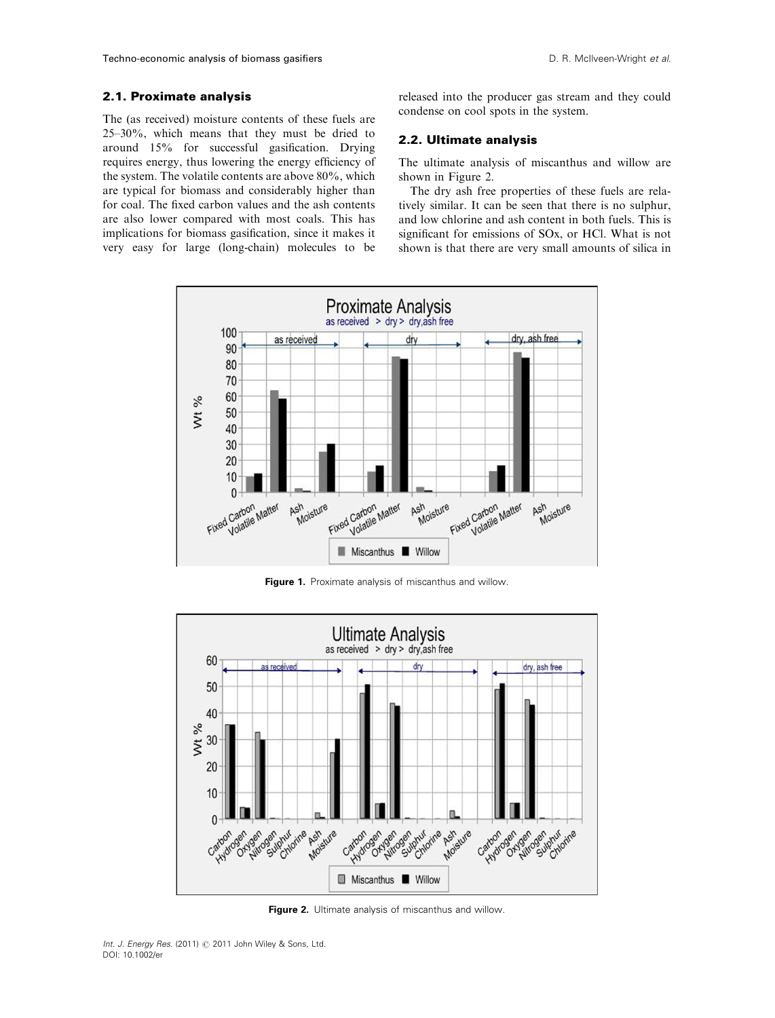# 2.1. Proximate analysis

The (as received) moisture contents of these fuels are 25–30%, which means that they must be dried to around 15% for successful gasification. Drying requires energy, thus lowering the energy efficiency of the system. The volatile contents are above 80%, which are typical for biomass and considerably higher than for coal. The fixed carbon values and the ash contents are also lower compared with most coals. This has implications for biomass gasification, since it makes it very easy for large (long-chain) molecules to be released into the producer gas stream and they could condense on cool spots in the system.

## 2.2. Ultimate analysis

The ultimate analysis of miscanthus and willow are shown in Figure 2.

The dry ash free properties of these fuels are relatively similar. It can be seen that there is no sulphur, and low chlorine and ash content in both fuels. This is significant for emissions of SOx, or HCl. What is not shown is that there are very small amounts of silica in



**Figure 1.** Proximate analysis of miscanthus and willow.



**Figure 2.** Ultimate analysis of miscanthus and willow.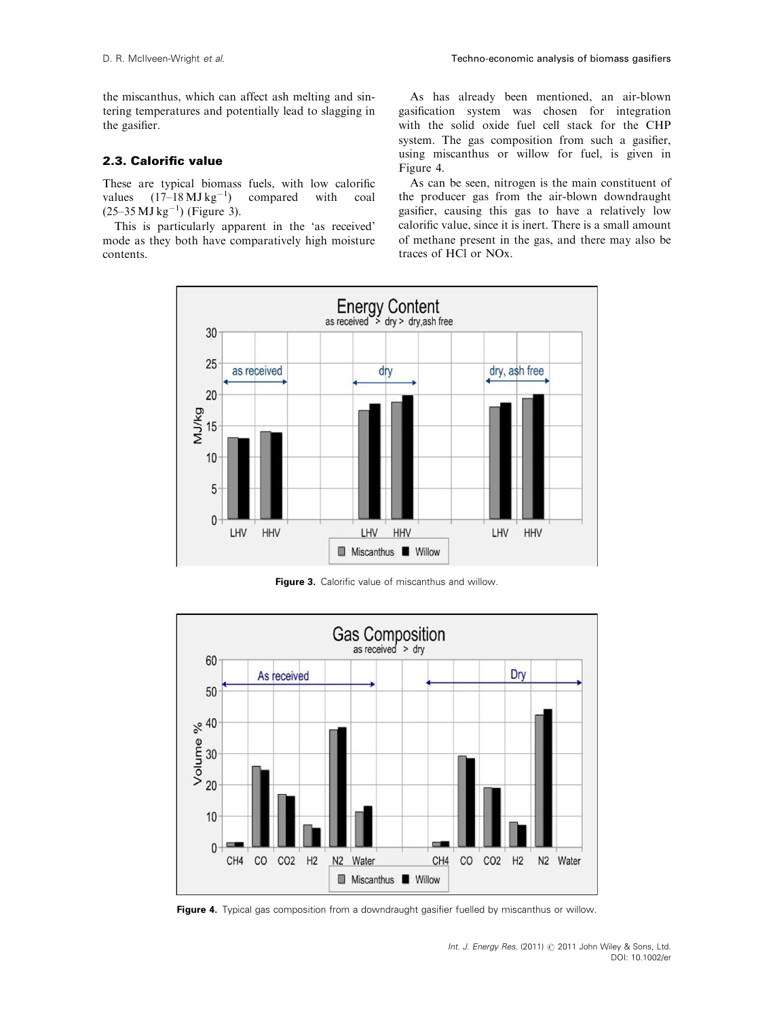the miscanthus, which can affect ash melting and sintering temperatures and potentially lead to slagging in the gasifier.

## 2.3. Calorific value

These are typical biomass fuels, with low calorific values  $(17-18 \text{ MJ kg}^{-1})$ ) compared with coal  $(25-35 \,\mathrm{MJ\, kg^{-1}})$  (Figure 3).

This is particularly apparent in the 'as received' mode as they both have comparatively high moisture contents.

As has already been mentioned, an air-blown gasification system was chosen for integration with the solid oxide fuel cell stack for the CHP system. The gas composition from such a gasifier, using miscanthus or willow for fuel, is given in Figure 4.

As can be seen, nitrogen is the main constituent of the producer gas from the air-blown downdraught gasifier, causing this gas to have a relatively low calorific value, since it is inert. There is a small amount of methane present in the gas, and there may also be traces of HCl or NOx.



**Figure 3.** Calorific value of miscanthus and willow.



**Figure 4.** Typical gas composition from a downdraught gasifier fuelled by miscanthus or willow.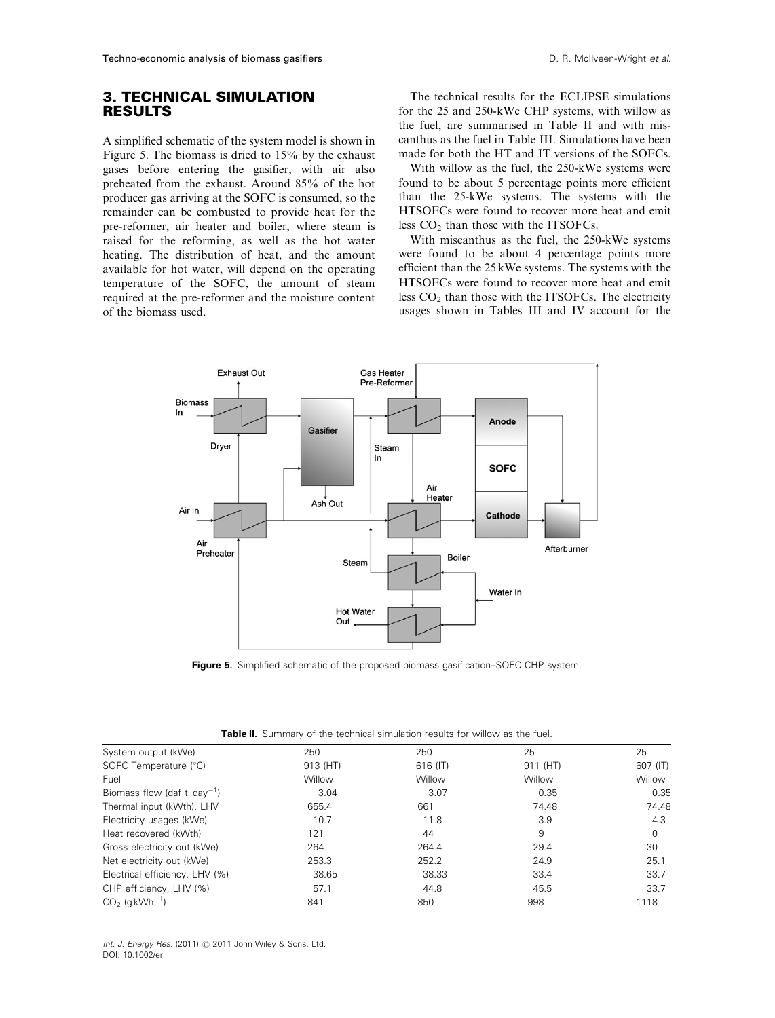# 3. TECHNICAL SIMULATION RESULTS

A simplified schematic of the system model is shown in Figure 5. The biomass is dried to 15% by the exhaust gases before entering the gasifier, with air also preheated from the exhaust. Around 85% of the hot producer gas arriving at the SOFC is consumed, so the remainder can be combusted to provide heat for the pre-reformer, air heater and boiler, where steam is raised for the reforming, as well as the hot water heating. The distribution of heat, and the amount available for hot water, will depend on the operating temperature of the SOFC, the amount of steam required at the pre-reformer and the moisture content of the biomass used.

The technical results for the ECLIPSE simulations for the 25 and 250-kWe CHP systems, with willow as the fuel, are summarised in Table II and with miscanthus as the fuel in Table III. Simulations have been made for both the HT and IT versions of the SOFCs.

With willow as the fuel, the 250-kWe systems were found to be about 5 percentage points more efficient than the 25-kWe systems. The systems with the HTSOFCs were found to recover more heat and emit less  $CO<sub>2</sub>$  than those with the ITSOFCs.

With miscanthus as the fuel, the 250-kWe systems were found to be about 4 percentage points more efficient than the 25 kWe systems. The systems with the HTSOFCs were found to recover more heat and emit less  $CO<sub>2</sub>$  than those with the ITSOFCs. The electricity usages shown in Tables III and IV account for the



**Figure 5.** Simplified schematic of the proposed biomass gasification–SOFC CHP system.

| <b>Table II.</b> Summary of the technical simulation results for willow as the fuel. |
|--------------------------------------------------------------------------------------|
|--------------------------------------------------------------------------------------|

| System output (kWe)                     | 250      | 250      | 25       | 25            |
|-----------------------------------------|----------|----------|----------|---------------|
| SOFC Temperature (°C)                   | 913 (HT) | 616 (IT) | 911 (HT) | 607 (IT)      |
| Fuel                                    | Willow   | Willow   | Willow   | <b>Willow</b> |
| Biomass flow (daf t day <sup>-1</sup> ) | 3.04     | 3.07     | 0.35     | 0.35          |
| Thermal input (kWth), LHV               | 655.4    | 661      | 74.48    | 74.48         |
| Electricity usages (kWe)                | 10.7     | 11.8     | 3.9      | 4.3           |
| Heat recovered (kWth)                   | 121      | 44       | 9        | $\Omega$      |
| Gross electricity out (kWe)             | 264      | 264.4    | 29.4     | 30            |
| Net electricity out (kWe)               | 253.3    | 252.2    | 24.9     | 25.1          |
| Electrical efficiency, LHV (%)          | 38.65    | 38.33    | 33.4     | 33.7          |
| CHP efficiency, LHV (%)                 | 57.1     | 44.8     | 45.5     | 33.7          |
| $CO2$ (q kWh <sup>-1</sup> )            | 841      | 850      | 998      | 1118          |
|                                         |          |          |          |               |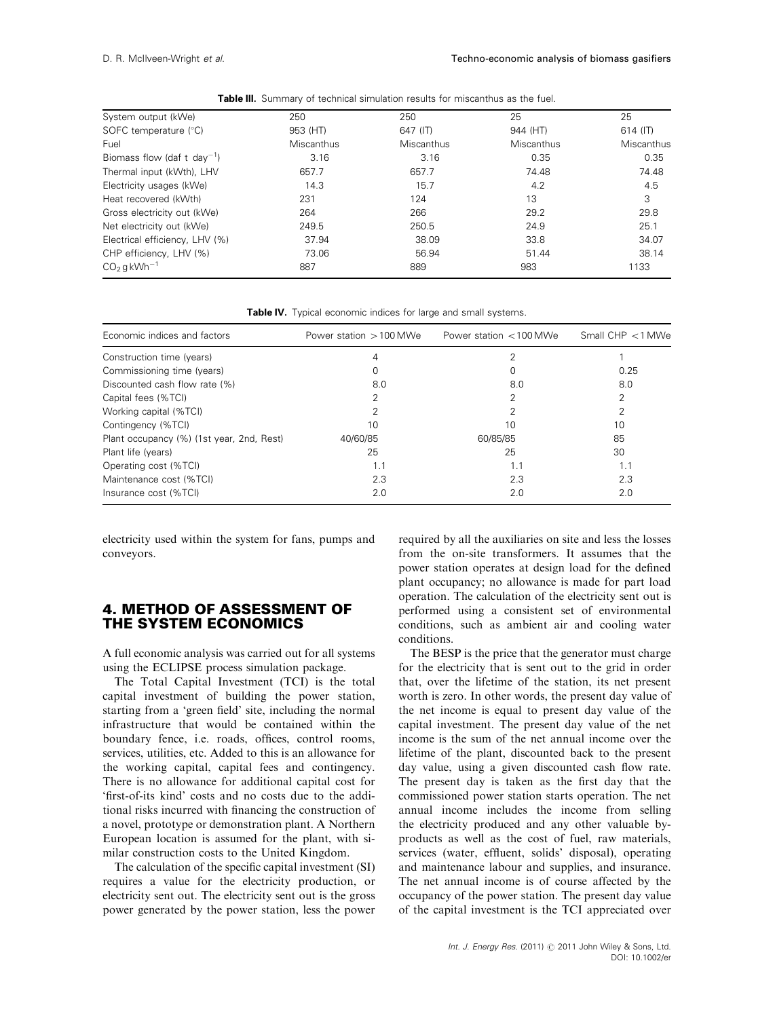| 25         |
|------------|
| 614 (IT)   |
| Miscanthus |
| 0.35       |
| 74.48      |
| 4.5        |
| 3          |
| 29.8       |
| 25.1       |
| 34.07      |
| 38.14      |
| 1133       |
|            |

**Table III.** Summary of technical simulation results for miscanthus as the fuel.

**Table IV.** Typical economic indices for large and small systems.

| Economic indices and factors              | Power station $>100$ MWe | Power station $<$ 100 MWe | Small CHP $<$ 1 MWe |  |
|-------------------------------------------|--------------------------|---------------------------|---------------------|--|
| Construction time (years)                 |                          |                           |                     |  |
| Commissioning time (years)                | O                        | O                         | 0.25                |  |
| Discounted cash flow rate (%)             | 8.0                      | 8.0                       | 8.0                 |  |
| Capital fees (%TCI)                       | 2                        | 2                         | 2                   |  |
| Working capital (%TCI)                    |                          |                           | 2                   |  |
| Contingency (%TCI)                        | 10                       | 10                        | 10                  |  |
| Plant occupancy (%) (1st year, 2nd, Rest) | 40/60/85                 | 60/85/85                  | 85                  |  |
| Plant life (years)                        | 25                       | 25                        | 30                  |  |
| Operating cost (%TCI)                     | 1.1                      | 1.1                       | 1.1                 |  |
| Maintenance cost (%TCI)                   | 2.3                      | 2.3                       | 2.3                 |  |
| Insurance cost (%TCI)                     | 2.0                      | 2.0                       | 2.0                 |  |

electricity used within the system for fans, pumps and conveyors.

# 4. METHOD OF ASSESSMENT OF THE SYSTEM ECONOMICS

A full economic analysis was carried out for all systems using the ECLIPSE process simulation package.

The Total Capital Investment (TCI) is the total capital investment of building the power station, starting from a 'green field' site, including the normal infrastructure that would be contained within the boundary fence, i.e. roads, offices, control rooms, services, utilities, etc. Added to this is an allowance for the working capital, capital fees and contingency. There is no allowance for additional capital cost for 'first-of-its kind' costs and no costs due to the additional risks incurred with financing the construction of a novel, prototype or demonstration plant. A Northern European location is assumed for the plant, with similar construction costs to the United Kingdom.

The calculation of the specific capital investment (SI) requires a value for the electricity production, or electricity sent out. The electricity sent out is the gross power generated by the power station, less the power

required by all the auxiliaries on site and less the losses from the on-site transformers. It assumes that the power station operates at design load for the defined plant occupancy; no allowance is made for part load operation. The calculation of the electricity sent out is performed using a consistent set of environmental conditions, such as ambient air and cooling water conditions.

The BESP is the price that the generator must charge for the electricity that is sent out to the grid in order that, over the lifetime of the station, its net present worth is zero. In other words, the present day value of the net income is equal to present day value of the capital investment. The present day value of the net income is the sum of the net annual income over the lifetime of the plant, discounted back to the present day value, using a given discounted cash flow rate. The present day is taken as the first day that the commissioned power station starts operation. The net annual income includes the income from selling the electricity produced and any other valuable byproducts as well as the cost of fuel, raw materials, services (water, effluent, solids' disposal), operating and maintenance labour and supplies, and insurance. The net annual income is of course affected by the occupancy of the power station. The present day value of the capital investment is the TCI appreciated over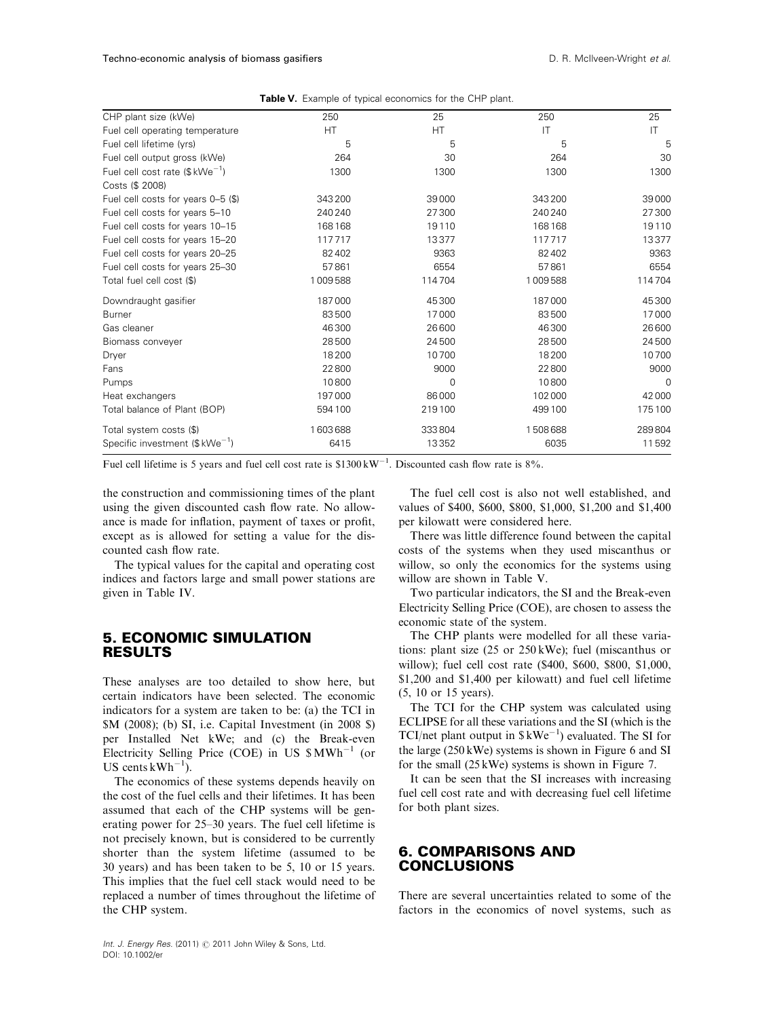| $\frac{1}{2}$                      |           |        |         |         |  |
|------------------------------------|-----------|--------|---------|---------|--|
| CHP plant size (kWe)               | 250       | 25     | 250     | 25      |  |
| Fuel cell operating temperature    | <b>HT</b> | HT     | IT      | IT      |  |
| Fuel cell lifetime (yrs)           | 5         | 5      | 5       | 5       |  |
| Fuel cell output gross (kWe)       | 264       | 30     | 264     | 30      |  |
| Fuel cell cost rate $($kWe^{-1})$  | 1300      | 1300   | 1300    | 1300    |  |
| Costs (\$ 2008)                    |           |        |         |         |  |
| Fuel cell costs for years 0-5 (\$) | 343200    | 39000  | 343200  | 39000   |  |
| Fuel cell costs for years 5-10     | 240 240   | 27300  | 240 240 | 27300   |  |
| Fuel cell costs for years 10-15    | 168168    | 19110  | 168168  | 19110   |  |
| Fuel cell costs for years 15-20    | 117717    | 13377  | 117717  | 13377   |  |
| Fuel cell costs for years 20-25    | 82402     | 9363   | 82402   | 9363    |  |
| Fuel cell costs for years 25-30    | 57861     | 6554   | 57861   | 6554    |  |
| Total fuel cell cost (\$)          | 1009588   | 114704 | 1009588 | 114704  |  |
| Downdraught gasifier               | 187000    | 45300  | 187000  | 45300   |  |
| <b>Burner</b>                      | 83500     | 17000  | 83500   | 17000   |  |
| Gas cleaner                        | 46300     | 26600  | 46300   | 26600   |  |
| Biomass conveyer                   | 28500     | 24500  | 28500   | 24500   |  |
| Dryer                              | 18200     | 10700  | 18200   | 10700   |  |
| Fans                               | 22800     | 9000   | 22800   | 9000    |  |
| Pumps                              | 10800     | O      | 10800   | 0       |  |
| Heat exchangers                    | 197000    | 86000  | 102000  | 42 000  |  |
| Total balance of Plant (BOP)       | 594 100   | 219100 | 499100  | 175 100 |  |
| Total system costs (\$)            | 1603688   | 333804 | 1508688 | 289804  |  |
| Specific investment $($kWe^{-1})$  | 6415      | 13352  | 6035    | 11592   |  |

**Table V.** Example of typical economics for the CHP plant.

Fuel cell lifetime is 5 years and fuel cell cost rate is  $$1300 \text{ kW}^{-1}$ . Discounted cash flow rate is 8%.

the construction and commissioning times of the plant using the given discounted cash flow rate. No allowance is made for inflation, payment of taxes or profit, except as is allowed for setting a value for the discounted cash flow rate.

The typical values for the capital and operating cost indices and factors large and small power stations are given in Table IV.

# 5. ECONOMIC SIMULATION RESULTS

These analyses are too detailed to show here, but certain indicators have been selected. The economic indicators for a system are taken to be: (a) the TCI in \$M (2008); (b) SI, i.e. Capital Investment (in 2008 \$) per Installed Net kWe; and (c) the Break-even Electricity Selling Price (COE) in US  $\text{\$MWh}^{-1}$  (or US cents  $kWh^{-1}$ ).

The economics of these systems depends heavily on the cost of the fuel cells and their lifetimes. It has been assumed that each of the CHP systems will be generating power for 25–30 years. The fuel cell lifetime is not precisely known, but is considered to be currently shorter than the system lifetime (assumed to be 30 years) and has been taken to be 5, 10 or 15 years. This implies that the fuel cell stack would need to be replaced a number of times throughout the lifetime of the CHP system.

The fuel cell cost is also not well established, and values of \$400, \$600, \$800, \$1,000, \$1,200 and \$1,400 per kilowatt were considered here.

There was little difference found between the capital costs of the systems when they used miscanthus or willow, so only the economics for the systems using willow are shown in Table V.

Two particular indicators, the SI and the Break-even Electricity Selling Price (COE), are chosen to assess the economic state of the system.

The CHP plants were modelled for all these variations: plant size (25 or 250 kWe); fuel (miscanthus or willow); fuel cell cost rate (\$400, \$600, \$800, \$1,000, \$1,200 and \$1,400 per kilowatt) and fuel cell lifetime (5, 10 or 15 years).

The TCI for the CHP system was calculated using ECLIPSE for all these variations and the SI (which is the TCI/net plant output in  $\text{\$kWe}^{-1}$ ) evaluated. The SI for the large (250 kWe) systems is shown in Figure 6 and SI for the small (25 kWe) systems is shown in Figure 7.

It can be seen that the SI increases with increasing fuel cell cost rate and with decreasing fuel cell lifetime for both plant sizes.

# 6. COMPARISONS AND CONCLUSIONS

There are several uncertainties related to some of the factors in the economics of novel systems, such as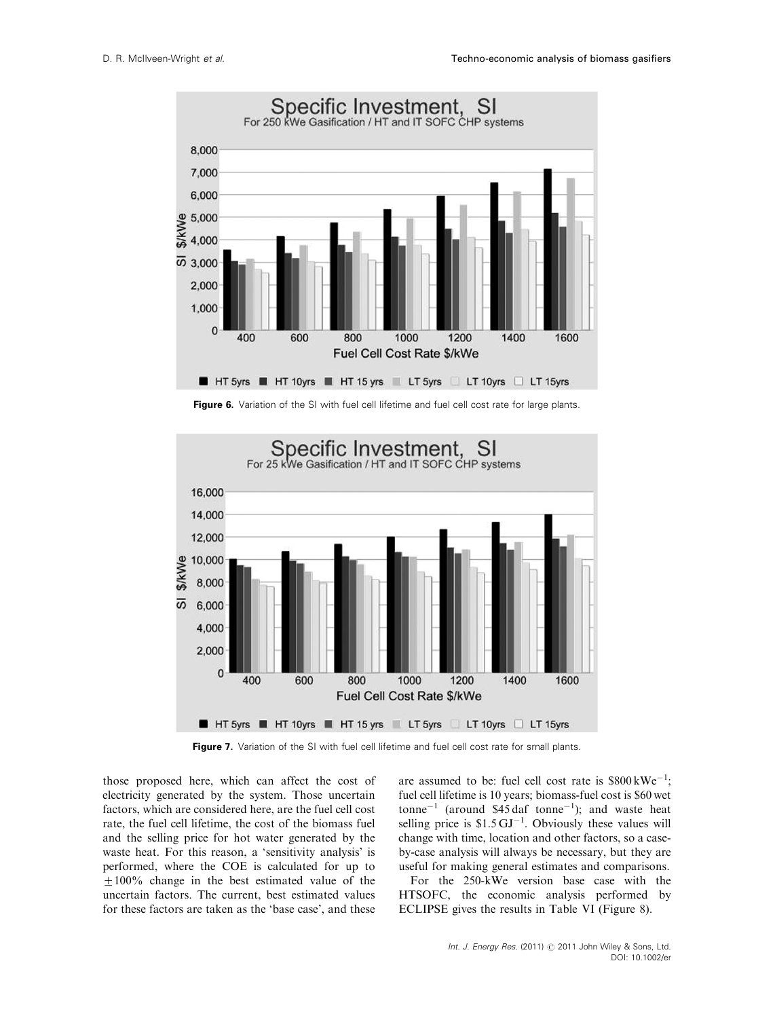

Figure 6. Variation of the SI with fuel cell lifetime and fuel cell cost rate for large plants.



Figure 7. Variation of the SI with fuel cell lifetime and fuel cell cost rate for small plants.

those proposed here, which can affect the cost of electricity generated by the system. Those uncertain factors, which are considered here, are the fuel cell cost rate, the fuel cell lifetime, the cost of the biomass fuel and the selling price for hot water generated by the waste heat. For this reason, a 'sensitivity analysis' is performed, where the COE is calculated for up to  $\pm 100\%$  change in the best estimated value of the uncertain factors. The current, best estimated values for these factors are taken as the 'base case', and these

are assumed to be: fuel cell cost rate is  $$800 \text{ kW}e^{-1}$ ; fuel cell lifetime is 10 years; biomass-fuel cost is \$60 wet  $\text{tonne}^{-1}$  (around \$45 daf tonne<sup>-1</sup>); and waste heat selling price is  $$1.5 \text{GJ}^{-1}$ . Obviously these values will change with time, location and other factors, so a caseby-case analysis will always be necessary, but they are useful for making general estimates and comparisons.

For the 250-kWe version base case with the HTSOFC, the economic analysis performed by ECLIPSE gives the results in Table VI (Figure 8).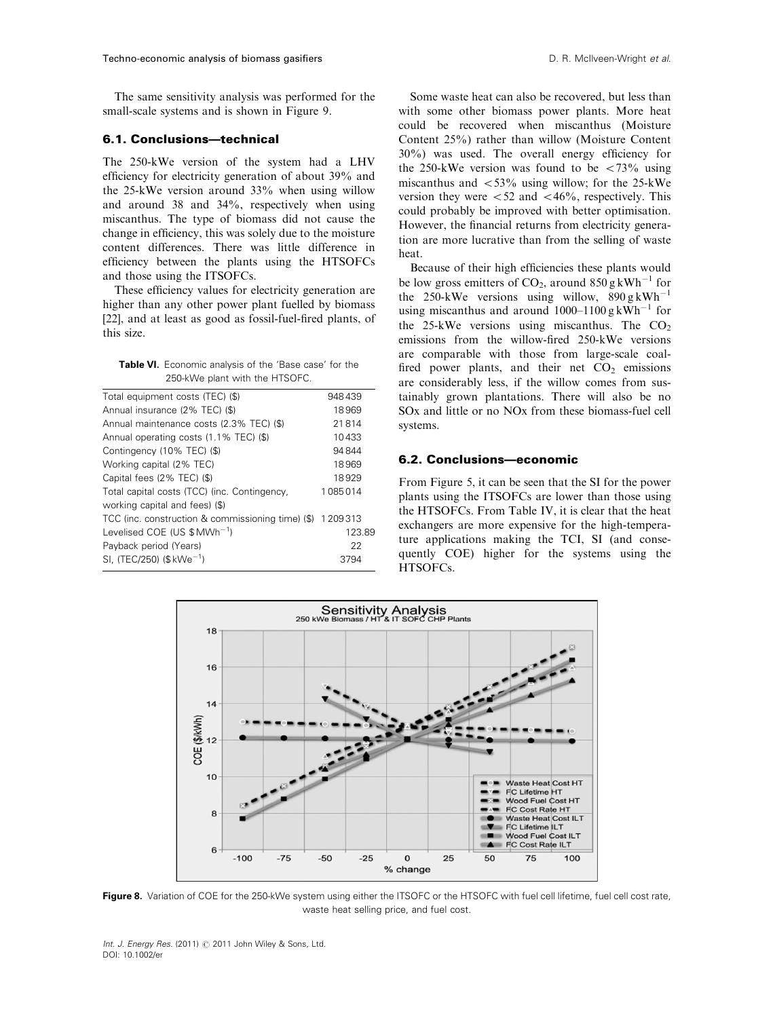The same sensitivity analysis was performed for the small-scale systems and is shown in Figure 9.

### 6.1. Conclusions—technical

The 250-kWe version of the system had a LHV efficiency for electricity generation of about 39% and the 25-kWe version around 33% when using willow and around 38 and 34%, respectively when using miscanthus. The type of biomass did not cause the change in efficiency, this was solely due to the moisture content differences. There was little difference in efficiency between the plants using the HTSOFCs and those using the ITSOFCs.

These efficiency values for electricity generation are higher than any other power plant fuelled by biomass [22], and at least as good as fossil-fuel-fired plants, of this size.

**Table VI.** Economic analysis of the 'Base case' for the 250-kWe plant with the HTSOFC.

| Total equipment costs (TEC) (\$)                          | 948439  |
|-----------------------------------------------------------|---------|
| Annual insurance (2% TEC) (\$)                            | 18969   |
| Annual maintenance costs (2.3% TEC) (\$)                  | 21814   |
| Annual operating costs (1.1% TEC) (\$)                    | 10433   |
| Contingency (10% TEC) (\$)                                | 94844   |
| Working capital (2% TEC)                                  | 18969   |
| Capital fees (2% TEC) (\$)                                | 18929   |
| Total capital costs (TCC) (inc. Contingency,              | 1085014 |
| working capital and fees) (\$)                            |         |
| TCC (inc. construction & commissioning time) (\$) 1209313 |         |
| Levelised COE (US $$MWh^{-1}$ )                           | 123.89  |
| Payback period (Years)                                    | 22      |
| SI, (TEC/250) ( $$kWe^{-1}$ )                             | 3794    |
|                                                           |         |

Some waste heat can also be recovered, but less than with some other biomass power plants. More heat could be recovered when miscanthus (Moisture Content 25%) rather than willow (Moisture Content 30%) was used. The overall energy efficiency for the 250-kWe version was found to be  $\langle 73\% \rangle$  using miscanthus and  $\langle 53\%$  using willow; for the 25-kWe version they were  $\langle 52 \rangle$  and  $\langle 46 \rangle$ , respectively. This could probably be improved with better optimisation. However, the financial returns from electricity generation are more lucrative than from the selling of waste heat.

Because of their high efficiencies these plants would be low gross emitters of  $CO_2$ , around  $850$  g kWh<sup>-1</sup> for the 250-kWe versions using willow,  $890 \text{ gkWh}^{-1}$ using miscanthus and around  $1000-1100$  g kWh<sup>-1</sup> for the 25-kWe versions using miscanthus. The  $CO<sub>2</sub>$ emissions from the willow-fired 250-kWe versions are comparable with those from large-scale coalfired power plants, and their net  $CO<sub>2</sub>$  emissions are considerably less, if the willow comes from sustainably grown plantations. There will also be no SOx and little or no NOx from these biomass-fuel cell systems.

#### 6.2. Conclusions—economic

From Figure 5, it can be seen that the SI for the power plants using the ITSOFCs are lower than those using the HTSOFCs. From Table IV, it is clear that the heat exchangers are more expensive for the high-temperature applications making the TCI, SI (and consequently COE) higher for the systems using the HTSOFCs.



Figure 8. Variation of COE for the 250-kWe system using either the ITSOFC or the HTSOFC with fuel cell lifetime, fuel cell cost rate, waste heat selling price, and fuel cost.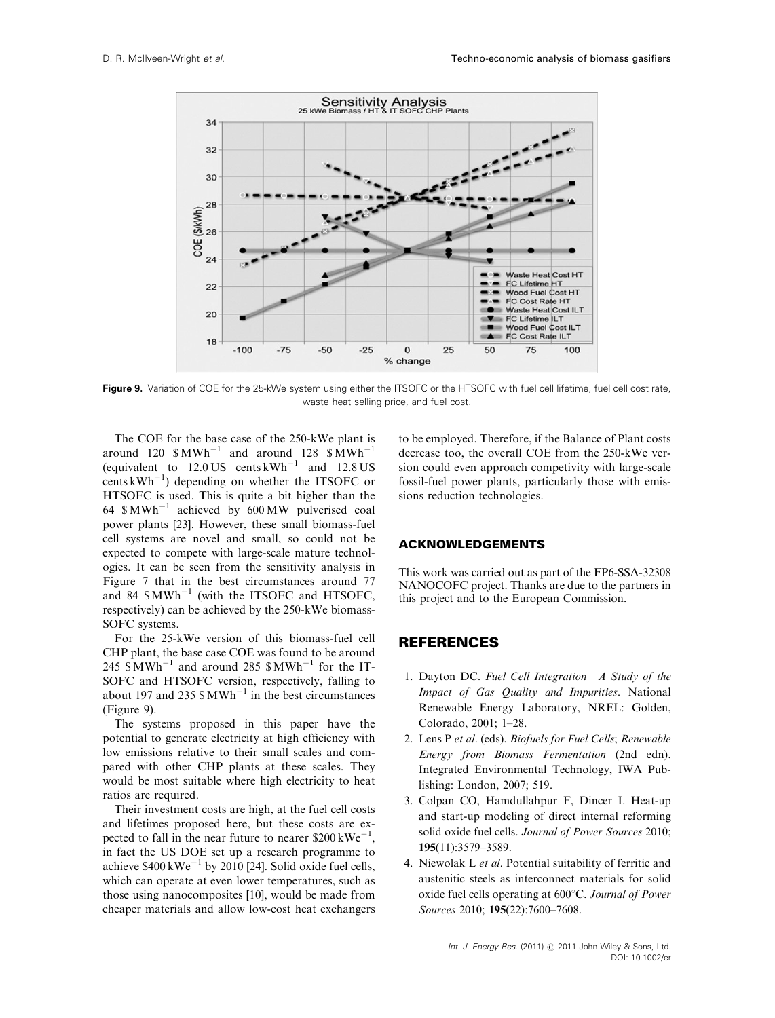

Figure 9. Variation of COE for the 25-kWe system using either the ITSOFC or the HTSOFC with fuel cell lifetime, fuel cell cost rate, waste heat selling price, and fuel cost.

The COE for the base case of the 250-kWe plant is around  $120$   $\text{S} \text{M} \text{W} \text{h}^{-1}$  and around  $128$   $\text{S} \text{M} \text{W} \text{h}^{-1}$ (equivalent to  $12.0$  US cents kWh<sup>-1</sup> and  $12.8$  US cents  $kWh^{-1}$ ) depending on whether the ITSOFC or HTSOFC is used. This is quite a bit higher than the 64  $$MWh^{-1}$$  achieved by 600 MW pulverised coal power plants [23]. However, these small biomass-fuel cell systems are novel and small, so could not be expected to compete with large-scale mature technologies. It can be seen from the sensitivity analysis in Figure 7 that in the best circumstances around 77 and 84 \$MWh<sup>-1</sup> (with the ITSOFC and HTSOFC, respectively) can be achieved by the 250-kWe biomass-SOFC systems.

For the 25-kWe version of this biomass-fuel cell CHP plant, the base case COE was found to be around 245  $\text{\textsterling} \text{MWh}^{-1}$  and around 285  $\text{\textsterling} \text{MWh}^{-1}$  for the IT-SOFC and HTSOFC version, respectively, falling to about 197 and 235  $\text{\textsterling}$  MWh<sup>-1</sup> in the best circumstances (Figure 9).

The systems proposed in this paper have the potential to generate electricity at high efficiency with low emissions relative to their small scales and compared with other CHP plants at these scales. They would be most suitable where high electricity to heat ratios are required.

Their investment costs are high, at the fuel cell costs and lifetimes proposed here, but these costs are expected to fall in the near future to nearer  $$200 \text{ kW}e^{-1}$ , in fact the US DOE set up a research programme to achieve  $$400 \text{ kW} \text{e}^{-1}$  by 2010 [24]. Solid oxide fuel cells, which can operate at even lower temperatures, such as those using nanocomposites [10], would be made from cheaper materials and allow low-cost heat exchangers

to be employed. Therefore, if the Balance of Plant costs decrease too, the overall COE from the 250-kWe version could even approach competivity with large-scale fossil-fuel power plants, particularly those with emissions reduction technologies.

### ACKNOWLEDGEMENTS

This work was carried out as part of the FP6-SSA-32308 NANOCOFC project. Thanks are due to the partners in this project and to the European Commission.

## REFERENCES

- 1. Dayton DC. Fuel Cell Integration—A Study of the Impact of Gas Quality and Impurities. National Renewable Energy Laboratory, NREL: Golden, Colorado, 2001; 1–28.
- 2. Lens P et al. (eds). Biofuels for Fuel Cells; Renewable Energy from Biomass Fermentation (2nd edn). Integrated Environmental Technology, IWA Publishing: London, 2007; 519.
- 3. Colpan CO, Hamdullahpur F, Dincer I. Heat-up and start-up modeling of direct internal reforming solid oxide fuel cells. Journal of Power Sources 2010; 195(11):3579–3589.
- 4. Niewolak L et al. Potential suitability of ferritic and austenitic steels as interconnect materials for solid oxide fuel cells operating at 600°C. Journal of Power Sources 2010; 195(22):7600–7608.